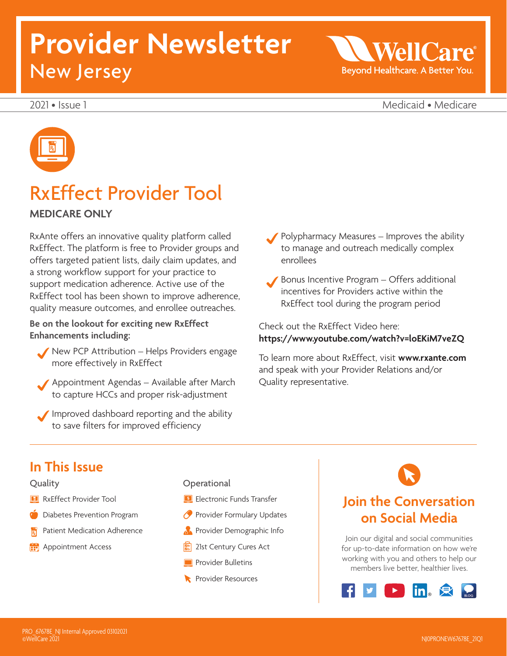# **Provider Newsletter**  New Jersey

WellO Beyond Healthcare. A Better You.

2021 • Issue 1 Medicaid • Medicare



### RxEffect Provider Tool

#### **MEDICARE ONLY**

RxAnte offers an innovative quality platform called RxEffect. The platform is free to Provider groups and offers targeted patient lists, daily claim updates, and a strong workflow support for your practice to support medication adherence. Active use of the RxEffect tool has been shown to improve adherence, quality measure outcomes, and enrollee outreaches.

**Be on the lookout for exciting new RxEffect Enhancements including:** 

- New PCP Attribution Helps Providers engage more effectively in RxEffect
- Appointment Agendas Available after March to capture HCCs and proper risk-adjustment
- Improved dashboard reporting and the ability to save filters for improved efficiency

 Polypharmacy Measures – Improves the ability to manage and outreach medically complex enrollees

 Bonus Incentive Program – Offers additional incentives for Providers active within the RxEffect tool during the program period

Check out the RxEffect Video here: **<https://www.youtube.com/watch?v=loEKiM7veZQ>**

To learn more about RxEffect, visit **<www.rxante.com>**  and speak with your Provider Relations and/or Quality representative.

### **In This Issue**

#### Quality

- **R** RxEffect Provider Tool
- **C** Diabetes Prevention Program
- Patient Medication Adherence
- Appointment Access

**Operational** 

- **Electronic Funds Transfer**
- **Provider Formulary Updates**
- **Provider Demographic Info**
- **图 21st Century Cures Act**
- **Provider Bulletins**
- **Provider Resources**

### **Join the Conversation on Social Media**

Join our digital and social communities for up-to-date information on how we're working with you and others to help our members live better, healthier lives.

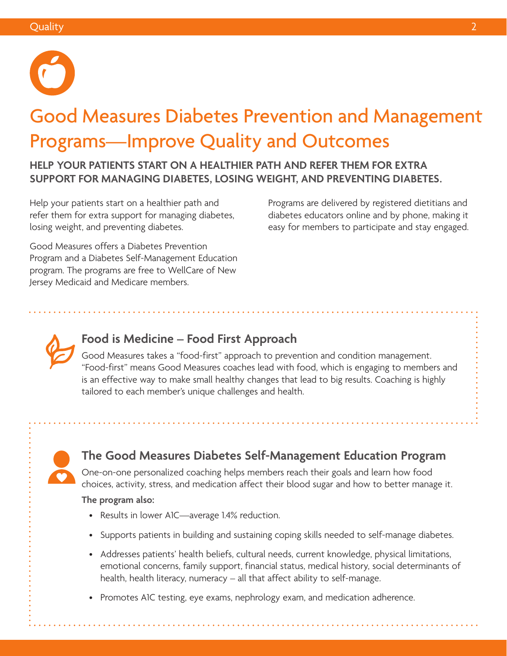

# Good Measures Diabetes Prevention and Management Programs—Improve Quality and Outcomes

 **SUPPORT FOR MANAGING DIABETES, LOSING WEIGHT, AND PREVENTING DIABETES. HELP YOUR PATIENTS START ON A HEALTHIER PATH AND REFER THEM FOR EXTRA** 

Help your patients start on a healthier path and refer them for extra support for managing diabetes, losing weight, and preventing diabetes.

Programs are delivered by registered dietitians and diabetes educators online and by phone, making it easy for members to participate and stay engaged.

Good Measures offers a Diabetes Prevention Program and a Diabetes Self-Management Education program. The programs are free to WellCare of New Jersey Medicaid and Medicare members.



### **Food is Medicine – Food First Approach**

Good Measures takes a "food-first" approach to prevention and condition management. "Food-first" means Good Measures coaches lead with food, which is engaging to members and is an effective way to make small healthy changes that lead to big results. Coaching is highly tailored to each member's unique challenges and health.

### **The Good Measures Diabetes Self-Management Education Program**

One-on-one personalized coaching helps members reach their goals and learn how food choices, activity, stress, and medication affect their blood sugar and how to better manage it.

#### **The program also:**

- Results in lower A1C—average 1.4% reduction.
- Supports patients in building and sustaining coping skills needed to self-manage diabetes.
- Addresses patients' health beliefs, cultural needs, current knowledge, physical limitations, emotional concerns, family support, financial status, medical history, social determinants of health, health literacy, numeracy – all that affect ability to self-manage.
- Promotes A1C testing, eye exams, nephrology exam, and medication adherence.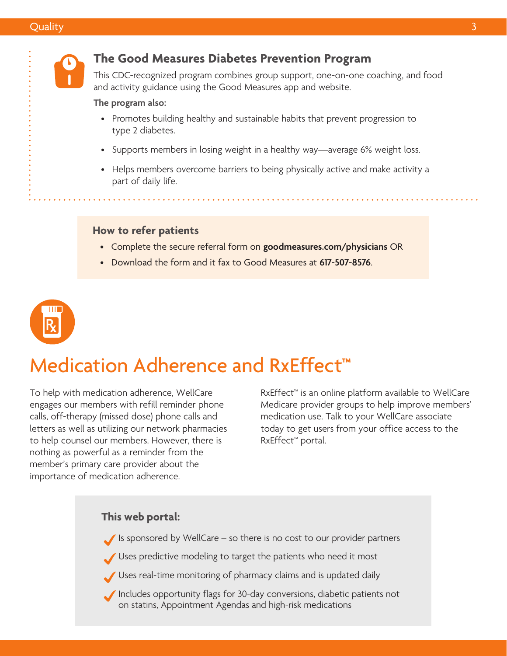

#### **The Good Measures Diabetes Prevention Program**

This CDC-recognized program combines group support, one-on-one coaching, and food and activity guidance using the Good Measures app and website.

#### **The program also:**

- Promotes building healthy and sustainable habits that prevent progression to type 2 diabetes.
- Supports members in losing weight in a healthy way—average 6% weight loss.
- Helps members overcome barriers to being physically active and make activity a part of daily life.

#### **How to refer patients**

- Complete the secure referral form on **[goodmeasures.com/physicians](http://goodmeasures.com/physicians)** OR
- Download the form and it fax to Good Measures at **617-507-8576**.



# Medication Adherence and RxEffect**™**

To help with medication adherence, WellCare engages our members with refill reminder phone calls, off-therapy (missed dose) phone calls and letters as well as utilizing our network pharmacies to help counsel our members. However, there is nothing as powerful as a reminder from the member's primary care provider about the importance of medication adherence.

RxEffect™ is an online platform available to WellCare Medicare provider groups to help improve members' medication use. Talk to your WellCare associate today to get users from your office access to the RxEffect™ portal.

### Is sponsored by WellCare – so there is no cost to our provider partners Uses predictive modeling to target the patients who need it most Uses real-time monitoring of pharmacy claims and is updated daily Includes opportunity flags for 30-day conversions, diabetic patients not **This web portal:**  on statins, Appointment Agendas and high-risk medications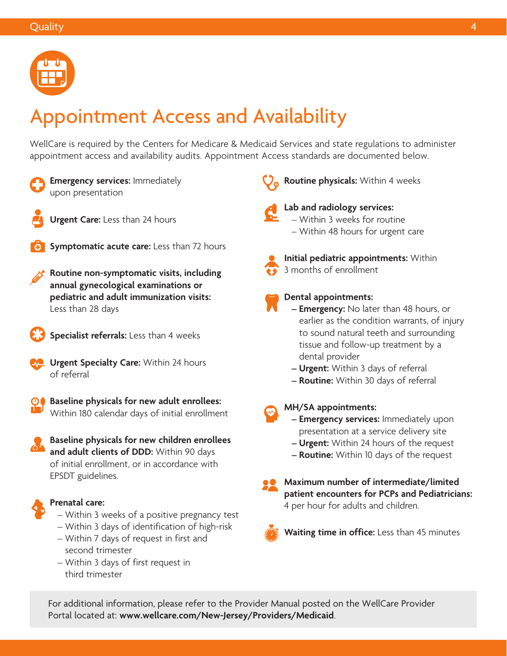

# Appointment Access and Availability

WellCare is required by the Centers for Medicare & Medicaid Services and state regulations to administer appointment access and availability audits. Appointment Access standards are documented below.



**Emergency services:** Immediately upon presentation



**Urgent Care:** Less than 24 hours



**Symptomatic acute care:** Less than 72 hours

**Routine non-symptomatic visits, including annual gynecological examinations or pediatric and adult immunization visits:**  Less than 28 days



**Specialist referrals:** Less than 4 weeks

- **Letter Urgent Specialty Care:** Within 24 hours of referral
- **Baseline physicals for new adult enrollees:**  Within 180 calendar days of initial enrollment
	- **Baseline physicals for new children enrollees and adult clients of DDD:** Within 90 days of initial enrollment, or in accordance with EPSDT guidelines.



#### **Prenatal care:**

- Within 3 weeks of a positive pregnancy test
- Within 3 days of identification of high-risk – Within 7 days of request in first and
- second trimester
- Within 3 days of first request in third trimester

**Routine physicals:** Within 4 weeks



#### **Lab and radiology services:**  – Within 3 weeks for routine – Within 48 hours for urgent care



**Initial pediatric appointments:** Within 3 months of enrollment



#### **Dental appointments:**

- **Emergency:** No later than 48 hours, or earlier as the condition warrants, of injury to sound natural teeth and surrounding tissue and follow-up treatment by a dental provider
- **Urgent:** Within 3 days of referral
- **Routine:** Within 30 days of referral

**MH/SA appointments:** 

- **Emergency services:** Immediately upon presentation at a service delivery site
- **Urgent:** Within 24 hours of the request
- **Routine:** Within 10 days of the request
- **Maximum number of intermediate/limited patient encounters for PCPs and Pediatricians:**  4 per hour for adults and children.



**Waiting time in office:** Less than 45 minutes

For additional information, please refer to the Provider Manual posted on the WellCare Provider Portal located at: **[www.wellcare.com/New-Jersey/Providers/Medicaid](http://www.wellcare.com/New-Jersey/Providers/Medicaid)**.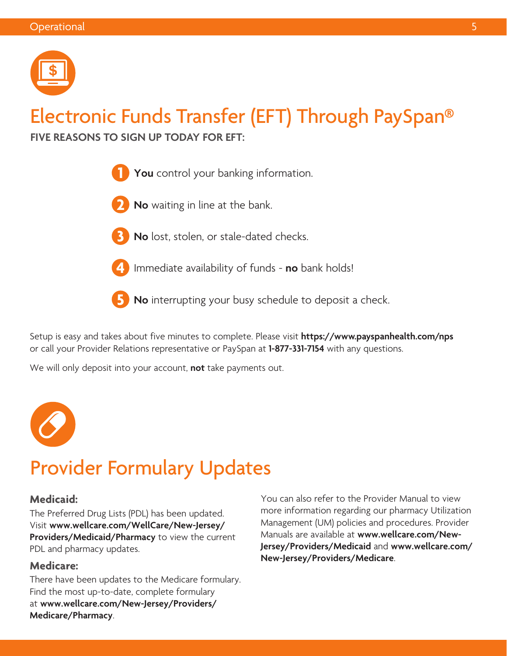

# Electronic Funds Transfer (EFT) Through PaySpan®

**FIVE REASONS TO SIGN UP TODAY FOR EFT:** 



- **2 No** waiting in line at the bank.
- 
- **3 No** lost, stolen, or stale-dated checks.
- 

**4** Immediate availability of funds - **no** bank holds!

**5 No** interrupting your busy schedule to deposit a check.

Setup is easy and takes about five minutes to complete. Please visit **<https://www.payspanhealth.com/nps>**  or call your Provider Relations representative or PaySpan at **1-877-331-7154** with any questions.

We will only deposit into your account, **not** take payments out.



# Provider Formulary Updates

#### **Medicaid:**

The Preferred Drug Lists (PDL) has been updated. Visit **[www.wellcare.com/WellCare/New-Jersey/](http://www.wellcare.com/WellCare/New-Jersey/Providers/Medicaid/Pharmacy) [Providers/Medicaid/Pharmacy](http://www.wellcare.com/WellCare/New-Jersey/Providers/Medicaid/Pharmacy)** to view the current PDL and pharmacy updates.

#### **Medicare:**

There have been updates to the Medicare formulary. Find the most up-to-date, complete formulary at **[www.wellcare.com/New-Jersey/Providers/](http://www.wellcare.com/New-Jersey/Providers/Medicare/Pharmacy) [Medicare/Pharmacy](http://www.wellcare.com/New-Jersey/Providers/Medicare/Pharmacy)**.

You can also refer to the Provider Manual to view more information regarding our pharmacy Utilization Management (UM) policies and procedures. Provider Manuals are available at **[www.wellcare.com/New-](http://www.wellcare.com/New-Jersey/Providers/Medicaid)[Jersey/Providers/Medicaid](http://www.wellcare.com/New-Jersey/Providers/Medicaid)** and **[www.wellcare.com/](http://www.wellcare.com/New-Jersey/Providers/Medicare) [New-Jersey/Providers/Medicare](http://www.wellcare.com/New-Jersey/Providers/Medicare)**.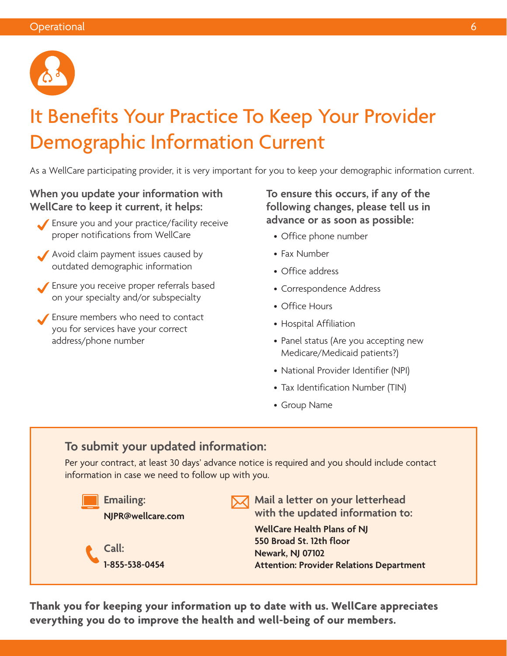

# It Benefits Your Practice To Keep Your Provider Demographic Information Current

As a WellCare participating provider, it is very important for you to keep your demographic information current.

#### **When you update your information with WellCare to keep it current, it helps:**

- Ensure you and your practice/facility receive proper notifications from WellCare
- Avoid claim payment issues caused by outdated demographic information
- Ensure you receive proper referrals based on your specialty and/or subspecialty
- Ensure members who need to contact you for services have your correct address/phone number

**To ensure this occurs, if any of the following changes, please tell us in advance or as soon as possible:** 

- Office phone number
- Fax Number
- Office address
- Correspondence Address
- Office Hours
- Hospital Affiliation
- • Panel status (Are you accepting new Medicare/Medicaid patients?)
- National Provider Identifier (NPI)
- Tax Identification Number (TIN)
- Group Name

### **To submit your updated information:**

Per your contract, at least 30 days' advance notice is required and you should include contact information in case we need to follow up with you.



**Thank you for keeping your information up to date with us. WellCare appreciates everything you do to improve the health and well-being of our members.**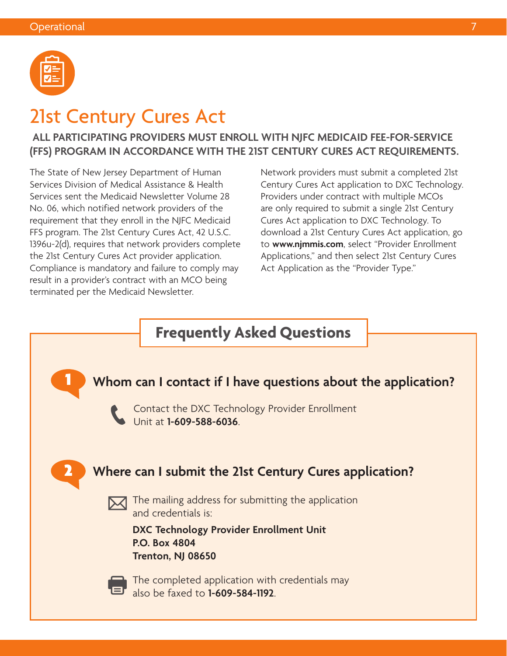

### 21st Century Cures Act

#### **ALL PARTICIPATING PROVIDERS MUST ENROLL WITH NJFC MEDICAID FEE-FOR-SERVICE (FFS) PROGRAM IN ACCORDANCE WITH THE 21ST CENTURY CURES ACT REQUIREMENTS.**

The State of New Jersey Department of Human Services Division of Medical Assistance & Health Services sent the Medicaid Newsletter Volume 28 No. 06, which notified network providers of the requirement that they enroll in the NJFC Medicaid FFS program. The 21st Century Cures Act, 42 U.S.C. 1396u-2(d), requires that network providers complete the 21st Century Cures Act provider application. Compliance is mandatory and failure to comply may result in a provider's contract with an MCO being terminated per the Medicaid Newsletter.

Network providers must submit a completed 21st Century Cures Act application to DXC Technology. Providers under contract with multiple MCOs are only required to submit a single 21st Century Cures Act application to DXC Technology. To download a 21st Century Cures Act application, go to **[www.njmmis.com](http://www.njmmis.com)**, select "Provider Enrollment Applications," and then select 21st Century Cures Act Application as the "Provider Type."

### **Frequently Asked Questions**